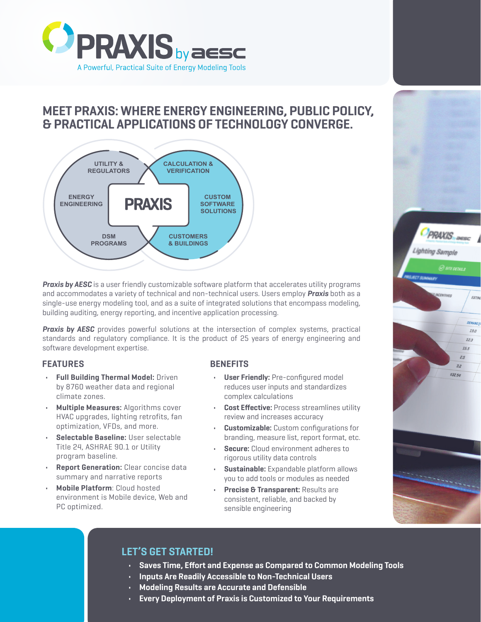

# **MEET PRAXIS: WHERE ENERGY ENGINEERING, PUBLIC POLICY, & PRACTICAL APPLICATIONS OF TECHNOLOGY CONVERGE.**



*Praxis by AESC* is a user friendly customizable software platform that accelerates utility programs and accommodates a variety of technical and non-technical users. Users employ *Praxis* both as a single-use energy modeling tool, and as a suite of integrated solutions that encompass modeling, building auditing, energy reporting, and incentive application processing.

**Praxis by AESC** provides powerful solutions at the intersection of complex systems, practical standards and regulatory compliance. It is the product of 25 years of energy engineering and software development expertise.

### **FEATURES**

- **• Full Building Thermal Model:** Driven by 8760 weather data and regional climate zones.
- **• Multiple Measures:** Algorithms cover HVAC upgrades, lighting retrofits, fan optimization, VFDs, and more.
- **• Selectable Baseline:** User selectable Title 24, ASHRAE 90.1 or Utility program baseline.
- **• Report Generation:** Clear concise data summary and narrative reports
- **• Mobile Platform**: Cloud hosted environment is Mobile device, Web and PC optimized.

### **BENEFITS**

- **• User Friendly:** Pre-configured model reduces user inputs and standardizes complex calculations
- **• Cost Effective:** Process streamlines utility review and increases accuracy
- **• Customizable:** Custom configurations for branding, measure list, report format, etc.
- **• Secure:** Cloud environment adheres to rigorous utility data controls
- **• Sustainable:** Expandable platform allows you to add tools or modules as needed
- **• Precise & Transparent:** Results are consistent, reliable, and backed by sensible engineering



## **LET'S GET STARTED!**

- **• Saves Time, Effort and Expense as Compared to Common Modeling Tools**
- **• Inputs Are Readily Accessible to Non-Technical Users**
- **• Modeling Results are Accurate and Defensible**
- **• Every Deployment of Praxis is Customized to Your Requirements**